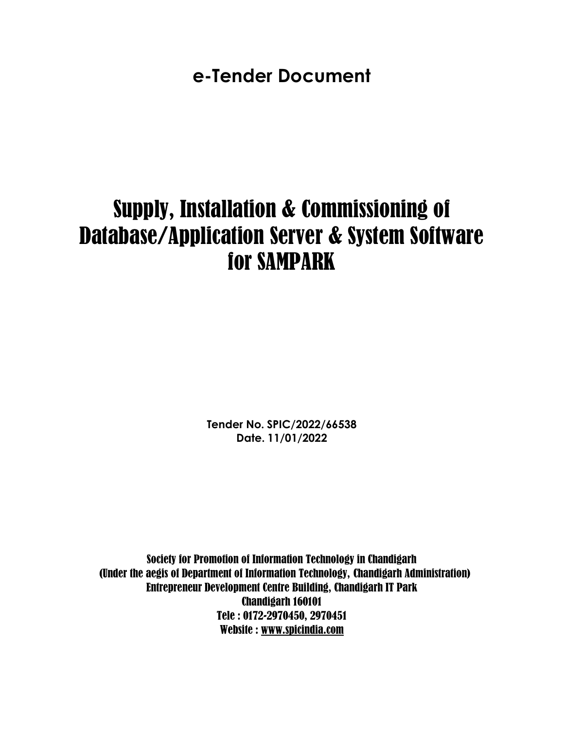**e-Tender Document**

# Supply, Installation & Commissioning of Database/Application Server & System Software for SAMPARK

**Tender No. SPIC/2022/66538 Date. 11/01/2022**

Society for Promotion of Information Technology in Chandigarh (Under the aegis of Department of Information Technology, Chandigarh Administration) Entrepreneur Development Centre Building, Chandigarh IT Park Chandigarh 160101 Tele : 0172-2970450, 2970451 Website : [www.spicindia.com](http://www.spicindia.com/)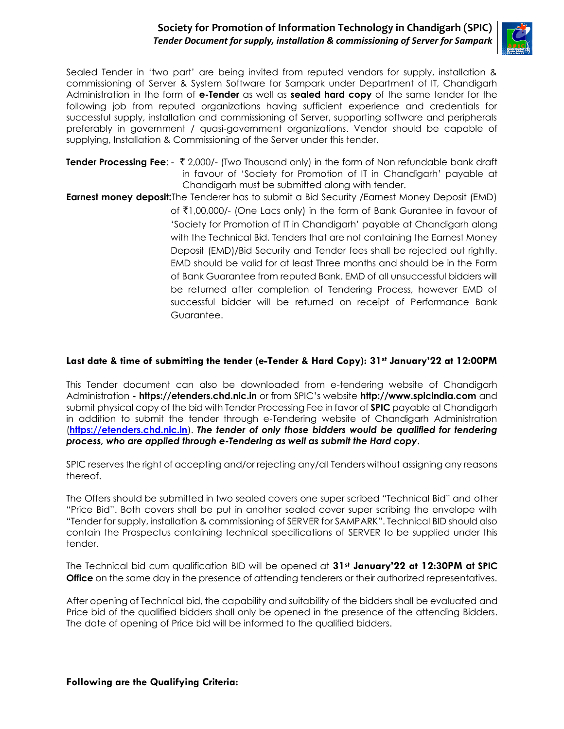#### **Society for Promotion of Information Technology in Chandigarh (SPIC)** *Tender Document for supply, installation & commissioning of Server for Sampark*



Sealed Tender in 'two part' are being invited from reputed vendors for supply, installation & commissioning of Server & System Software for Sampark under Department of IT, Chandigarh Administration in the form of **e-Tender** as well as **sealed hard copy** of the same tender for the following job from reputed organizations having sufficient experience and credentials for successful supply, installation and commissioning of Server, supporting software and peripherals preferably in government / quasi-government organizations. Vendor should be capable of supplying, Installation & Commissioning of the Server under this tender.

- **Tender Processing Fee**: ₹ 2,000/- (Two Thousand only) in the form of Non refundable bank draft in favour of 'Society for Promotion of IT in Chandigarh' payable at Chandigarh must be submitted along with tender.
- **Earnest money deposit:**The Tenderer has to submit a Bid Security /Earnest Money Deposit (EMD) of `1,00,000/- (One Lacs only) in the form of Bank Gurantee in favour of 'Society for Promotion of IT in Chandigarh' payable at Chandigarh along with the Technical Bid. Tenders that are not containing the Earnest Money Deposit (EMD)/Bid Security and Tender fees shall be rejected out rightly. EMD should be valid for at least Three months and should be in the Form of Bank Guarantee from reputed Bank. EMD of all unsuccessful bidders will be returned after completion of Tendering Process, however EMD of successful bidder will be returned on receipt of Performance Bank Guarantee.

#### **Last date & time of submitting the tender (e-Tender & Hard Copy): 31st January'22 at 12:00PM**

This Tender document can also be downloaded from e-tendering website of Chandigarh Administration **- [https://etenders.chd.nic.in](https://etenders.chd.nic.in/)** or from SPIC's website **http:/[/www.spicindia.com](http://www.spicindia.com/)** and submit physical copy of the bid with Tender Processing Fee in favor of **SPIC** payable at Chandigarh in addition to submit the tender through e-Tendering website of Chandigarh Administration (**[https://etenders.chd.nic.in](https://etenders.chd.nic.in/)**). *The tender of only those bidders would be qualified for tendering process, who are applied through e-Tendering as well as submit the Hard copy*.

SPIC reserves the right of accepting and/or rejecting any/all Tenders without assigning any reasons thereof.

The Offers should be submitted in two sealed covers one super scribed "Technical Bid" and other "Price Bid". Both covers shall be put in another sealed cover super scribing the envelope with "Tender for supply, installation & commissioning of SERVER for SAMPARK". Technical BID should also contain the Prospectus containing technical specifications of SERVER to be supplied under this tender.

The Technical bid cum qualification BID will be opened at **31st January'22 at 12:30PM at SPIC Office** on the same day in the presence of attending tenderers or their authorized representatives.

After opening of Technical bid, the capability and suitability of the bidders shall be evaluated and Price bid of the qualified bidders shall only be opened in the presence of the attending Bidders. The date of opening of Price bid will be informed to the qualified bidders.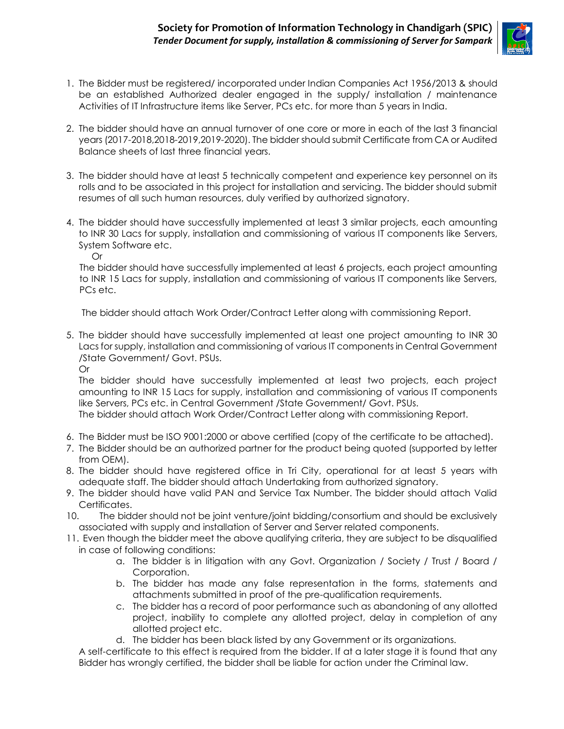

- 1. The Bidder must be registered/ incorporated under Indian Companies Act 1956/2013 & should be an established Authorized dealer engaged in the supply/ installation / maintenance Activities of IT Infrastructure items like Server, PCs etc. for more than 5 years in India.
- 2. The bidder should have an annual turnover of one core or more in each of the last 3 financial years (2017-2018,2018-2019,2019-2020). The bidder should submit Certificate from CA or Audited Balance sheets of last three financial years.
- 3. The bidder should have at least 5 technically competent and experience key personnel on its rolls and to be associated in this project for installation and servicing. The bidder should submit resumes of all such human resources, duly verified by authorized signatory.
- 4. The bidder should have successfully implemented at least 3 similar projects, each amounting to INR 30 Lacs for supply, installation and commissioning of various IT components like Servers, System Software etc.

Or

The bidder should have successfully implemented at least 6 projects, each project amounting to INR 15 Lacs for supply, installation and commissioning of various IT components like Servers, PCs etc.

The bidder should attach Work Order/Contract Letter along with commissioning Report.

5. The bidder should have successfully implemented at least one project amounting to INR 30 Lacs for supply, installation and commissioning of various IT components in Central Government /State Government/ Govt. PSUs.

Or

The bidder should have successfully implemented at least two projects, each project amounting to INR 15 Lacs for supply, installation and commissioning of various IT components like Servers, PCs etc. in Central Government /State Government/ Govt. PSUs.

The bidder should attach Work Order/Contract Letter along with commissioning Report.

- 6. The Bidder must be ISO 9001:2000 or above certified (copy of the certificate to be attached).
- 7. The Bidder should be an authorized partner for the product being quoted (supported by letter from OEM).
- 8. The bidder should have registered office in Tri City, operational for at least 5 years with adequate staff. The bidder should attach Undertaking from authorized signatory.
- 9. The bidder should have valid PAN and Service Tax Number. The bidder should attach Valid Certificates.
- 10. The bidder should not be joint venture/joint bidding/consortium and should be exclusively associated with supply and installation of Server and Server related components.
- 11. Even though the bidder meet the above qualifying criteria, they are subject to be disqualified in case of following conditions:
	- a. The bidder is in litigation with any Govt. Organization / Society / Trust / Board / Corporation.
	- b. The bidder has made any false representation in the forms, statements and attachments submitted in proof of the pre-qualification requirements.
	- c. The bidder has a record of poor performance such as abandoning of any allotted project, inability to complete any allotted project, delay in completion of any allotted project etc.
	- d. The bidder has been black listed by any Government or its organizations.

A self-certificate to this effect is required from the bidder. If at a later stage it is found that any Bidder has wrongly certified, the bidder shall be liable for action under the Criminal law.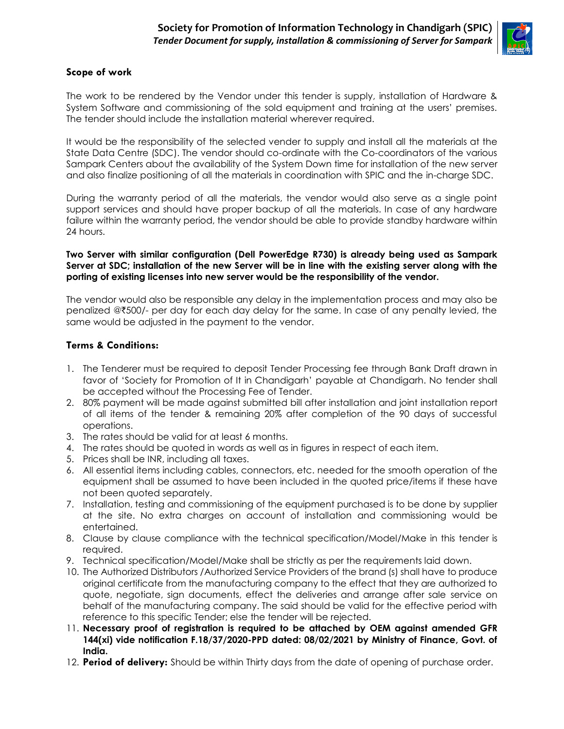

#### **Scope of work**

The work to be rendered by the Vendor under this tender is supply, installation of Hardware & System Software and commissioning of the sold equipment and training at the users' premises. The tender should include the installation material wherever required.

It would be the responsibility of the selected vender to supply and install all the materials at the State Data Centre (SDC). The vendor should co-ordinate with the Co-coordinators of the various Sampark Centers about the availability of the System Down time for installation of the new server and also finalize positioning of all the materials in coordination with SPIC and the in-charge SDC.

During the warranty period of all the materials, the vendor would also serve as a single point support services and should have proper backup of all the materials. In case of any hardware failure within the warranty period, the vendor should be able to provide standby hardware within 24 hours.

**Two Server with similar configuration (Dell PowerEdge R730) is already being used as Sampark Server at SDC; installation of the new Server will be in line with the existing server along with the porting of existing licenses into new server would be the responsibility of the vendor.** 

The vendor would also be responsible any delay in the implementation process and may also be penalized @`500/- per day for each day delay for the same. In case of any penalty levied, the same would be adjusted in the payment to the vendor.

#### **Terms & Conditions:**

- 1. The Tenderer must be required to deposit Tender Processing fee through Bank Draft drawn in favor of 'Society for Promotion of It in Chandigarh' payable at Chandigarh. No tender shall be accepted without the Processing Fee of Tender.
- 2. 80% payment will be made against submitted bill after installation and joint installation report of all items of the tender & remaining 20% after completion of the 90 days of successful operations.
- 3. The rates should be valid for at least 6 months.
- 4. The rates should be quoted in words as well as in figures in respect of each item.
- 5. Prices shall be INR, including all taxes.
- 6. All essential items including cables, connectors, etc. needed for the smooth operation of the equipment shall be assumed to have been included in the quoted price/items if these have not been quoted separately.
- 7. Installation, testing and commissioning of the equipment purchased is to be done by supplier at the site. No extra charges on account of installation and commissioning would be entertained.
- 8. Clause by clause compliance with the technical specification/Model/Make in this tender is required.
- 9. Technical specification/Model/Make shall be strictly as per the requirements laid down.
- 10. The Authorized Distributors /Authorized Service Providers of the brand (s) shall have to produce original certificate from the manufacturing company to the effect that they are authorized to quote, negotiate, sign documents, effect the deliveries and arrange after sale service on behalf of the manufacturing company. The said should be valid for the effective period with reference to this specific Tender; else the tender will be rejected.
- 11. **Necessary proof of registration is required to be attached by OEM against amended GFR 144(xi) vide notification F.18/37/2020-PPD dated: 08/02/2021 by Ministry of Finance, Govt. of India.**
- 12. **Period of delivery:** Should be within Thirty days from the date of opening of purchase order.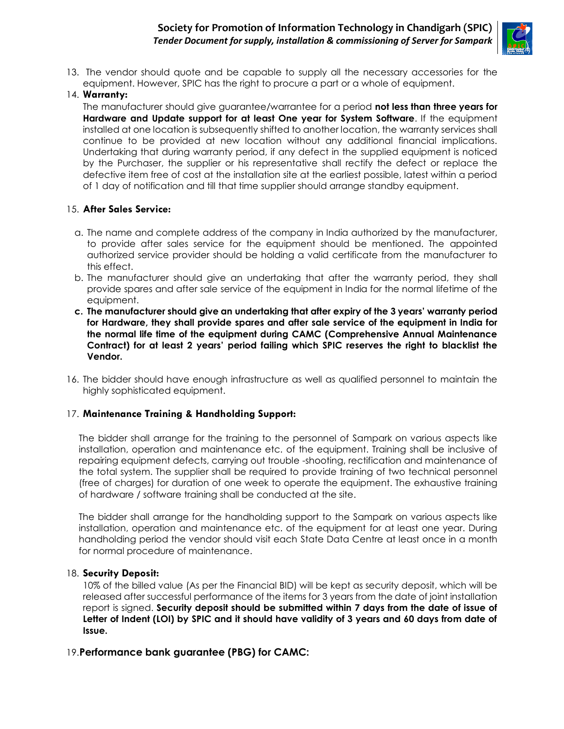#### **Society for Promotion of Information Technology in Chandigarh (SPIC)** *Tender Document for supply, installation & commissioning of Server for Sampark*



13. The vendor should quote and be capable to supply all the necessary accessories for the equipment. However, SPIC has the right to procure a part or a whole of equipment.

#### 14. **Warranty:**

The manufacturer should give guarantee/warrantee for a period **not less than three years for Hardware and Update support for at least One year for System Software**. If the equipment installed at one location is subsequently shifted to another location, the warranty services shall continue to be provided at new location without any additional financial implications. Undertaking that during warranty period, if any defect in the supplied equipment is noticed by the Purchaser, the supplier or his representative shall rectify the defect or replace the defective item free of cost at the installation site at the earliest possible, latest within a period of 1 day of notification and till that time supplier should arrange standby equipment.

#### 15. **After Sales Service:**

- a. The name and complete address of the company in India authorized by the manufacturer, to provide after sales service for the equipment should be mentioned. The appointed authorized service provider should be holding a valid certificate from the manufacturer to this effect.
- b. The manufacturer should give an undertaking that after the warranty period, they shall provide spares and after sale service of the equipment in India for the normal lifetime of the equipment.
- **c. The manufacturer should give an undertaking that after expiry of the 3 years' warranty period for Hardware, they shall provide spares and after sale service of the equipment in India for the normal life time of the equipment during CAMC (Comprehensive Annual Maintenance Contract) for at least 2 years' period failing which SPIC reserves the right to blacklist the Vendor.**
- 16. The bidder should have enough infrastructure as well as qualified personnel to maintain the highly sophisticated equipment.

#### 17. **Maintenance Training & Handholding Support:**

The bidder shall arrange for the training to the personnel of Sampark on various aspects like installation, operation and maintenance etc. of the equipment. Training shall be inclusive of repairing equipment defects, carrying out trouble -shooting, rectification and maintenance of the total system. The supplier shall be required to provide training of two technical personnel (free of charges) for duration of one week to operate the equipment. The exhaustive training of hardware / software training shall be conducted at the site.

The bidder shall arrange for the handholding support to the Sampark on various aspects like installation, operation and maintenance etc. of the equipment for at least one year. During handholding period the vendor should visit each State Data Centre at least once in a month for normal procedure of maintenance.

#### 18. **Security Deposit:**

10% of the billed value (As per the Financial BID) will be kept as security deposit, which will be released after successful performance of the items for 3 years from the date of joint installation report is signed. **Security deposit should be submitted within 7 days from the date of issue of Letter of Indent (LOI) by SPIC and it should have validity of 3 years and 60 days from date of Issue.**

#### 19.**Performance bank guarantee (PBG) for CAMC:**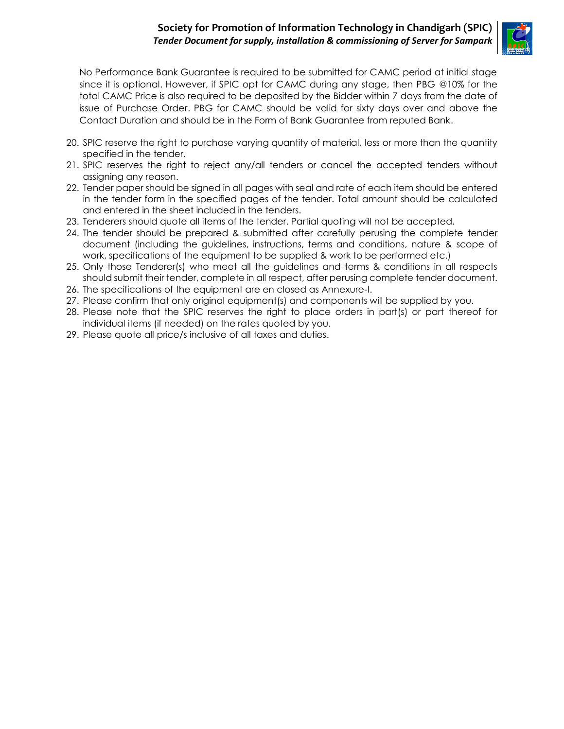#### **Society for Promotion of Information Technology in Chandigarh (SPIC)** *Tender Document for supply, installation & commissioning of Server for Sampark*



No Performance Bank Guarantee is required to be submitted for CAMC period at initial stage since it is optional. However, if SPIC opt for CAMC during any stage, then PBG @10% for the total CAMC Price is also required to be deposited by the Bidder within 7 days from the date of issue of Purchase Order. PBG for CAMC should be valid for sixty days over and above the Contact Duration and should be in the Form of Bank Guarantee from reputed Bank.

- 20. SPIC reserve the right to purchase varying quantity of material, less or more than the quantity specified in the tender.
- 21. SPIC reserves the right to reject any/all tenders or cancel the accepted tenders without assigning any reason.
- 22. Tender paper should be signed in all pages with seal and rate of each item should be entered in the tender form in the specified pages of the tender. Total amount should be calculated and entered in the sheet included in the tenders.
- 23. Tenderers should quote all items of the tender. Partial quoting will not be accepted.
- 24. The tender should be prepared & submitted after carefully perusing the complete tender document (including the guidelines, instructions, terms and conditions, nature & scope of work, specifications of the equipment to be supplied & work to be performed etc.)
- 25. Only those Tenderer(s) who meet all the guidelines and terms & conditions in all respects should submit their tender, complete in all respect, after perusing complete tender document.
- 26. The specifications of the equipment are en closed as Annexure-I.
- 27. Please confirm that only original equipment(s) and components will be supplied by you.
- 28. Please note that the SPIC reserves the right to place orders in part(s) or part thereof for individual items (if needed) on the rates quoted by you.
- 29. Please quote all price/s inclusive of all taxes and duties.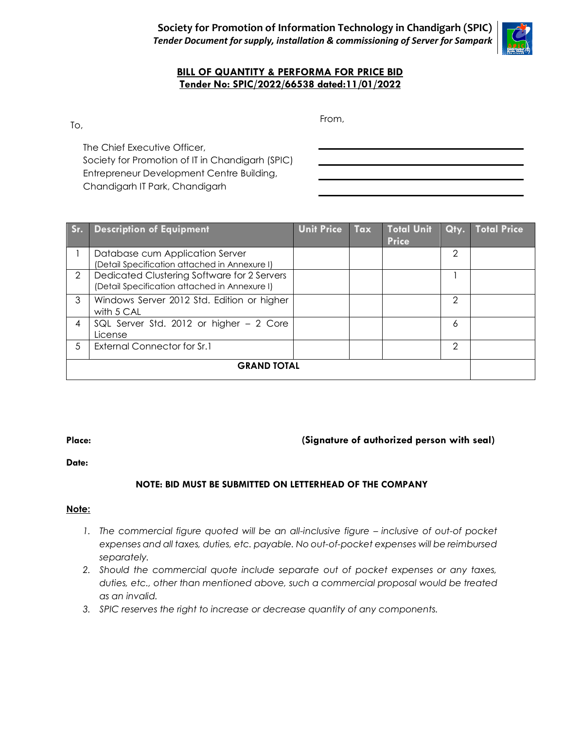

#### **BILL OF QUANTITY & PERFORMA FOR PRICE BID Tender No: SPIC/2022/66538 dated:11/01/2022**

To,

From,

The Chief Executive Officer, Society for Promotion of IT in Chandigarh (SPIC) Entrepreneur Development Centre Building, Chandigarh IT Park, Chandigarh

| Sr.                | <b>Description of Equipment</b>                                                              | <b>Unit Price</b> | Tax | <b>Total Unit</b><br><b>Price</b> | Qty. | Total Price |
|--------------------|----------------------------------------------------------------------------------------------|-------------------|-----|-----------------------------------|------|-------------|
|                    | Database cum Application Server<br>(Detail Specification attached in Annexure I)             |                   |     |                                   | 2    |             |
| $\overline{2}$     | Dedicated Clustering Software for 2 Servers<br>(Detail Specification attached in Annexure I) |                   |     |                                   |      |             |
| 3                  | Windows Server 2012 Std. Edition or higher<br>with 5 CAL                                     |                   |     |                                   | 2    |             |
| 4                  | SQL Server Std. 2012 or higher - 2 Core<br>License                                           |                   |     |                                   | 6    |             |
| 5.                 | <b>External Connector for Sr.1</b>                                                           |                   |     |                                   | 2    |             |
| <b>GRAND TOTAL</b> |                                                                                              |                   |     |                                   |      |             |

#### **Place: (Signature of authorized person with seal)**

#### **Date:**

#### **NOTE: BID MUST BE SUBMITTED ON LETTERHEAD OF THE COMPANY**

#### **Note:**

- *1.* The commercial figure quoted will be an all-inclusive figure inclusive of out-of pocket *expenses and all taxes, duties, etc. payable. No out-of-pocket expenses will be reimbursed separately.*
- *2. Should the commercial quote include separate out of pocket expenses or any taxes, duties, etc., other than mentioned above, such a commercial proposal would be treated as an invalid.*
- *3. SPIC reserves the right to increase or decrease quantity of any components.*